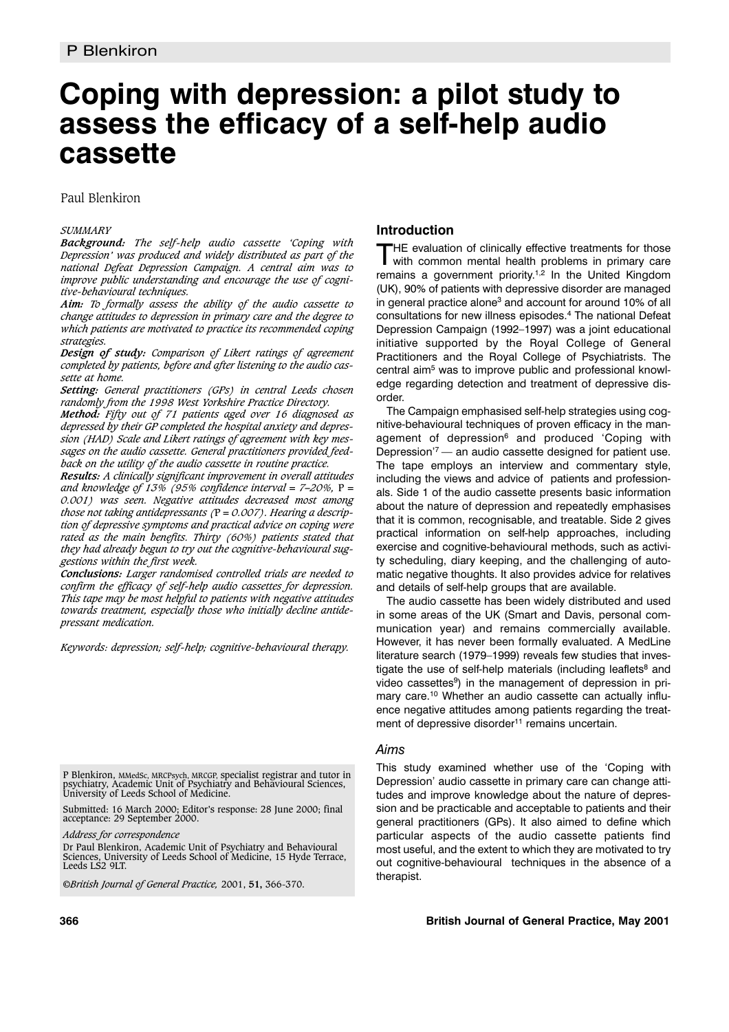# **Coping with depression: a pilot study to assess the efficacy of a self-help audio cassette**

Paul Blenkiron

### *SUMMARY*

*Background: The self-help audio cassette 'Coping with Depression' was produced and widely distributed as part of the national Defeat Depression Campaign. A central aim was to improve public understanding and encourage the use of cognitive-behavioural techniques.*

*Aim: To formally assess the ability of the audio cassette to change attitudes to depression in primary care and the degree to which patients are motivated to practice its recommended coping strategies.*

*Design of study: Comparison of Likert ratings of agreement completed by patients, before and after listening to the audio cassette at home.*

*Setting: General practitioners (GPs) in central Leeds chosen randomly from the 1998 West Yorkshire Practice Directory.*

*Method: Fifty out of 71 patients aged over 16 diagnosed as depressed by their GP completed the hospital anxiety and depression (HAD) Scale and Likert ratings of agreement with key messages on the audio cassette. General practitioners provided feedback on the utility of the audio cassette in routine practice.* 

*Results: A clinically significant improvement in overall attitudes and knowledge of 13% (95% confidence interval = 7–20%,* P *= 0.001) was seen. Negative attitudes decreased most among those not taking antidepressants (*P *= 0.007). Hearing a description of depressive symptoms and practical advice on coping were rated as the main benefits. Thirty (60%) patients stated that they had already begun to try out the cognitive-behavioural suggestions within the first week.*

*Conclusions: Larger randomised controlled trials are needed to confirm the efficacy of self-help audio cassettes for depression. This tape may be most helpful to patients with negative attitudes towards treatment, especially those who initially decline antidepressant medication.* 

*Keywords: depression; self-help; cognitive-behavioural therapy.*

P Blenkiron, MMedSc, MRCPsych, MRCGP, specialist registrar and tutor in psychiatry, Academic Unit of Psychiatry and Behavioural Sciences, University of Leeds School of Medicine.

Submitted: 16 March 2000; Editor's response: 28 June 2000; final acceptance: 29 September 2000.

*Address for correspondence*

Dr Paul Blenkiron, Academic Unit of Psychiatry and Behavioural Sciences, University of Leeds School of Medicine, 15 Hyde Terrace, Leeds LS2 9LT.

©*British Journal of General Practice,* 2001, **51,** 366-370.

# **Introduction**

THE evaluation of clinically effective treatments for those with common mental health problems in primary care remains a government priority.<sup>1,2</sup> In the United Kingdom (UK), 90% of patients with depressive disorder are managed in general practice alone<sup>3</sup> and account for around 10% of all consultations for new illness episodes.4 The national Defeat Depression Campaign (1992–1997) was a joint educational initiative supported by the Royal College of General Practitioners and the Royal College of Psychiatrists. The central aim<sup>5</sup> was to improve public and professional knowledge regarding detection and treatment of depressive disorder.

The Campaign emphasised self-help strategies using cognitive-behavioural techniques of proven efficacy in the management of depression<sup>6</sup> and produced 'Coping with Depression'7 — an audio cassette designed for patient use. The tape employs an interview and commentary style, including the views and advice of patients and professionals. Side 1 of the audio cassette presents basic information about the nature of depression and repeatedly emphasises that it is common, recognisable, and treatable. Side 2 gives practical information on self-help approaches, including exercise and cognitive-behavioural methods, such as activity scheduling, diary keeping, and the challenging of automatic negative thoughts. It also provides advice for relatives and details of self-help groups that are available.

The audio cassette has been widely distributed and used in some areas of the UK (Smart and Davis, personal communication year) and remains commercially available. However, it has never been formally evaluated. A MedLine literature search (1979–1999) reveals few studies that investigate the use of self-help materials (including leaflets $8$  and video cassettes<sup>9</sup>) in the management of depression in primary care.10 Whether an audio cassette can actually influence negative attitudes among patients regarding the treatment of depressive disorder<sup>11</sup> remains uncertain.

## *Aims*

This study examined whether use of the 'Coping with Depression' audio cassette in primary care can change attitudes and improve knowledge about the nature of depression and be practicable and acceptable to patients and their general practitioners (GPs). It also aimed to define which particular aspects of the audio cassette patients find most useful, and the extent to which they are motivated to try out cognitive-behavioural techniques in the absence of a therapist.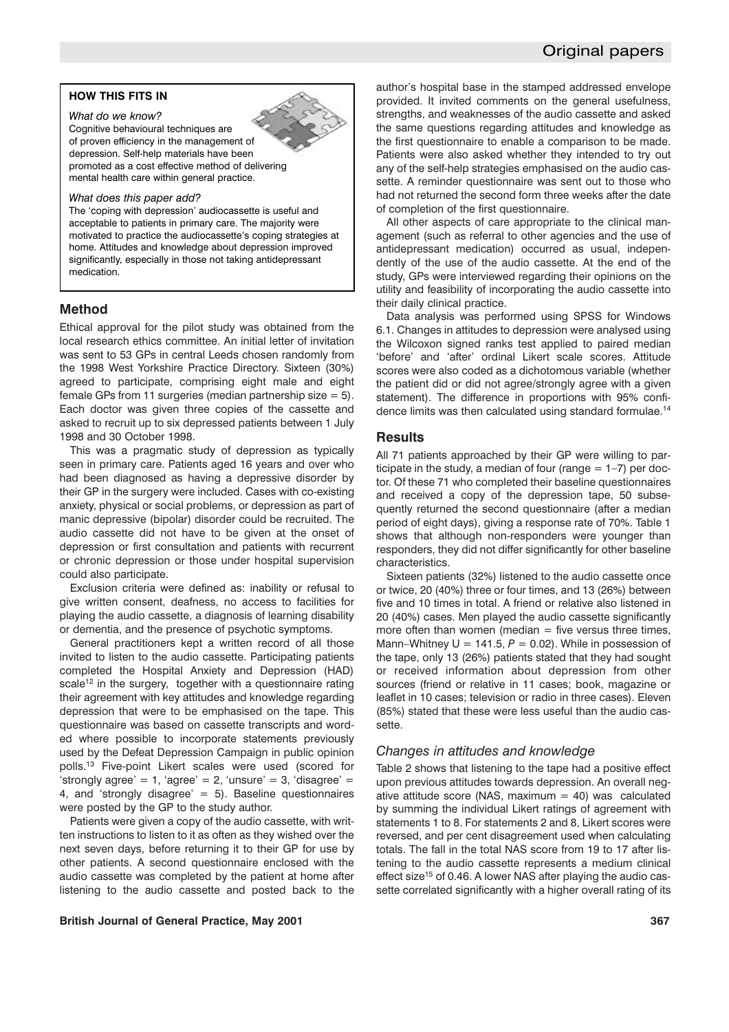# Original papers

### **HOW THIS FITS IN**

*What do we know?* Cognitive behavioural techniques are of proven efficiency in the management of depression. Self-help materials have been promoted as a cost effective method of delivering mental health care within general practice.

#### *What does this paper add?*

The 'coping with depression' audiocassette is useful and acceptable to patients in primary care. The majority were motivated to practice the audiocassette's coping strategies at home. Attitudes and knowledge about depression improved significantly, especially in those not taking antidepressant medication.

### **Method**

Ethical approval for the pilot study was obtained from the local research ethics committee. An initial letter of invitation was sent to 53 GPs in central Leeds chosen randomly from the 1998 West Yorkshire Practice Directory. Sixteen (30%) agreed to participate, comprising eight male and eight female GPs from 11 surgeries (median partnership size  $= 5$ ). Each doctor was given three copies of the cassette and asked to recruit up to six depressed patients between 1 July 1998 and 30 October 1998.

This was a pragmatic study of depression as typically seen in primary care. Patients aged 16 years and over who had been diagnosed as having a depressive disorder by their GP in the surgery were included. Cases with co-existing anxiety, physical or social problems, or depression as part of manic depressive (bipolar) disorder could be recruited. The audio cassette did not have to be given at the onset of depression or first consultation and patients with recurrent or chronic depression or those under hospital supervision could also participate.

Exclusion criteria were defined as: inability or refusal to give written consent, deafness, no access to facilities for playing the audio cassette, a diagnosis of learning disability or dementia, and the presence of psychotic symptoms.

General practitioners kept a written record of all those invited to listen to the audio cassette. Participating patients completed the Hospital Anxiety and Depression (HAD) scale<sup>12</sup> in the surgery, together with a questionnaire rating their agreement with key attitudes and knowledge regarding depression that were to be emphasised on the tape. This questionnaire was based on cassette transcripts and worded where possible to incorporate statements previously used by the Defeat Depression Campaign in public opinion polls.13 Five-point Likert scales were used (scored for 'strongly agree' = 1, 'agree' = 2, 'unsure' = 3, 'disagree' = 4, and 'strongly disagree'  $= 5$ ). Baseline questionnaires were posted by the GP to the study author.

Patients were given a copy of the audio cassette, with written instructions to listen to it as often as they wished over the next seven days, before returning it to their GP for use by other patients. A second questionnaire enclosed with the audio cassette was completed by the patient at home after listening to the audio cassette and posted back to the

### **British Journal of General Practice, May 2001 367**

author's hospital base in the stamped addressed envelope provided. It invited comments on the general usefulness, strengths, and weaknesses of the audio cassette and asked the same questions regarding attitudes and knowledge as the first questionnaire to enable a comparison to be made. Patients were also asked whether they intended to try out any of the self-help strategies emphasised on the audio cassette. A reminder questionnaire was sent out to those who had not returned the second form three weeks after the date of completion of the first questionnaire.

All other aspects of care appropriate to the clinical management (such as referral to other agencies and the use of antidepressant medication) occurred as usual, independently of the use of the audio cassette. At the end of the study, GPs were interviewed regarding their opinions on the utility and feasibility of incorporating the audio cassette into their daily clinical practice.

Data analysis was performed using SPSS for Windows 6.1. Changes in attitudes to depression were analysed using the Wilcoxon signed ranks test applied to paired median 'before' and 'after' ordinal Likert scale scores. Attitude scores were also coded as a dichotomous variable (whether the patient did or did not agree/strongly agree with a given statement). The difference in proportions with 95% confidence limits was then calculated using standard formulae.14

### **Results**

All 71 patients approached by their GP were willing to participate in the study, a median of four (range  $= 1-7$ ) per doctor. Of these 71 who completed their baseline questionnaires and received a copy of the depression tape, 50 subsequently returned the second questionnaire (after a median period of eight days), giving a response rate of 70%. Table 1 shows that although non-responders were younger than responders, they did not differ significantly for other baseline characteristics.

Sixteen patients (32%) listened to the audio cassette once or twice, 20 (40%) three or four times, and 13 (26%) between five and 10 times in total. A friend or relative also listened in 20 (40%) cases. Men played the audio cassette significantly more often than women (median  $=$  five versus three times, Mann–Whitney  $U = 141.5$ ,  $P = 0.02$ ). While in possession of the tape, only 13 (26%) patients stated that they had sought or received information about depression from other sources (friend or relative in 11 cases; book, magazine or leaflet in 10 cases; television or radio in three cases). Eleven (85%) stated that these were less useful than the audio cassette.

### *Changes in attitudes and knowledge*

Table 2 shows that listening to the tape had a positive effect upon previous attitudes towards depression. An overall negative attitude score (NAS, maximum  $=$  40) was calculated by summing the individual Likert ratings of agreement with statements 1 to 8. For statements 2 and 8, Likert scores were reversed, and per cent disagreement used when calculating totals. The fall in the total NAS score from 19 to 17 after listening to the audio cassette represents a medium clinical effect size<sup>15</sup> of 0.46. A lower NAS after playing the audio cassette correlated significantly with a higher overall rating of its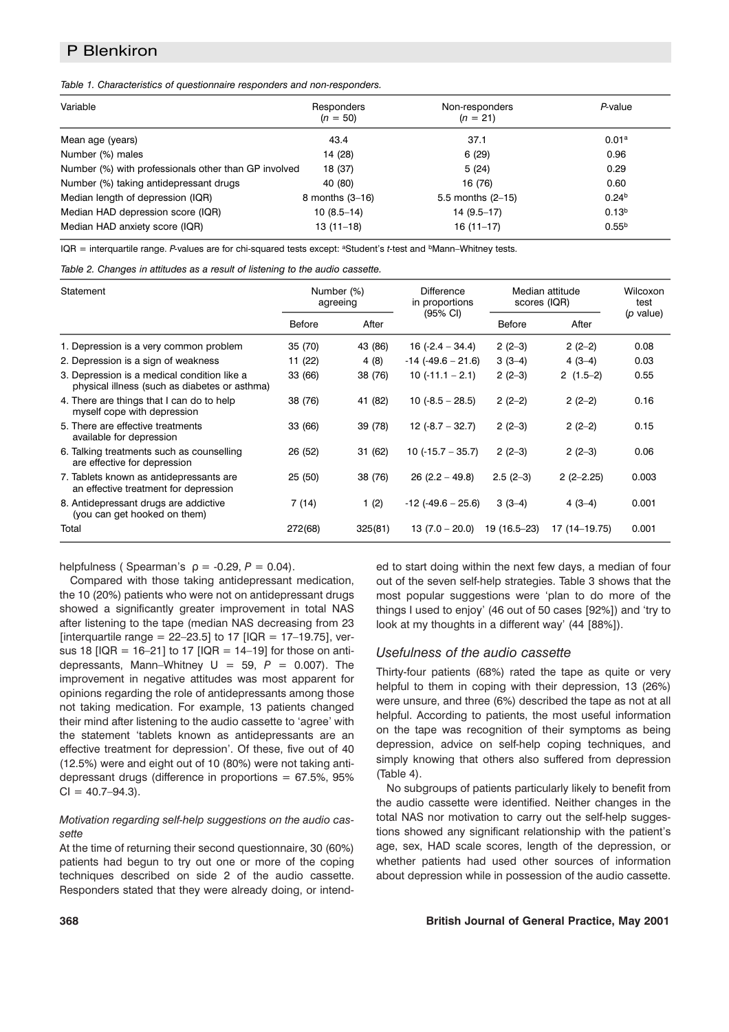# P Blenkiron

*Table 1. Characteristics of questionnaire responders and non-responders.*

| Variable                                             | Responders<br>$(n = 50)$ | Non-responders<br>$(n = 21)$ | P-value           |
|------------------------------------------------------|--------------------------|------------------------------|-------------------|
| Mean age (years)                                     | 43.4                     | 37.1                         | 0.01 <sup>a</sup> |
| Number (%) males                                     | 14 (28)                  | 6(29)                        | 0.96              |
| Number (%) with professionals other than GP involved | 18 (37)                  | 5(24)                        | 0.29              |
| Number (%) taking antidepressant drugs               | 40 (80)                  | 16 (76)                      | 0.60              |
| Median length of depression (IQR)                    | 8 months $(3-16)$        | 5.5 months $(2-15)$          | 0.24 <sup>b</sup> |
| Median HAD depression score (IQR)                    | $10(8.5-14)$             | $14(9.5-17)$                 | 0.13 <sup>b</sup> |
| Median HAD anxiety score (IQR)                       | $13(11-18)$              | $16(11-17)$                  | $0.55^{b}$        |

IQR = interquartile range. P-values are for chi-squared tests except: <sup>a</sup>Student's *t*-test and <sup>b</sup>Mann–Whitney tests.

| Table 2. Changes in attitudes as a result of listening to the audio cassette. |  |  |  |
|-------------------------------------------------------------------------------|--|--|--|
|                                                                               |  |  |  |

| Statement                                                                                    | Number (%)<br>agreeing |         | Difference<br>in proportions | Median attitude<br>scores (IQR) |               | Wilcoxon<br>test |
|----------------------------------------------------------------------------------------------|------------------------|---------|------------------------------|---------------------------------|---------------|------------------|
|                                                                                              | <b>Before</b>          | After   | $(95% \text{ Cl})$           | <b>Before</b>                   | After         | (p value)        |
| 1. Depression is a very common problem                                                       | 35 (70)                | 43 (86) | $16 (-2.4 - 34.4)$           | $2(2-3)$                        | $2(2-2)$      | 0.08             |
| 2. Depression is a sign of weakness                                                          | 11 (22)                | 4 (8)   | $-14$ ( $-49.6 - 21.6$ )     | $3(3-4)$                        | $4(3-4)$      | 0.03             |
| 3. Depression is a medical condition like a<br>physical illness (such as diabetes or asthma) | 33 (66)                | 38 (76) | $10(-11.1 - 2.1)$            | $2(2-3)$                        | $2(1.5-2)$    | 0.55             |
| 4. There are things that I can do to help<br>myself cope with depression                     | 38 (76)                | 41 (82) | $10(.8.5 - 28.5)$            | $2(2-2)$                        | $2(2-2)$      | 0.16             |
| 5. There are effective treatments<br>available for depression                                | 33 (66)                | 39 (78) | $12 (-8.7 - 32.7)$           | $2(2-3)$                        | $2(2-2)$      | 0.15             |
| 6. Talking treatments such as counselling<br>are effective for depression                    | 26 (52)                | 31 (62) | $10(.15.7 - 35.7)$           | $2(2-3)$                        | $2(2-3)$      | 0.06             |
| 7. Tablets known as antidepressants are<br>an effective treatment for depression             | 25(50)                 | 38 (76) | $26(2.2 - 49.8)$             | $2.5(2-3)$                      | $2(2-2.25)$   | 0.003            |
| 8. Antidepressant drugs are addictive<br>(you can get hooked on them)                        | 7 (14)                 | 1(2)    | $-12$ (-49.6 – 25.6)         | $3(3-4)$                        | $4(3-4)$      | 0.001            |
| Total                                                                                        | 272(68)                | 325(81) | $13(7.0 - 20.0)$             | 19 (16.5–23)                    | 17 (14–19.75) | 0.001            |

helpfulness ( Spearman's  $p = -0.29$ ,  $P = 0.04$ ).

Compared with those taking antidepressant medication, the 10 (20%) patients who were not on antidepressant drugs showed a significantly greater improvement in total NAS after listening to the tape (median NAS decreasing from 23 [interquartile range =  $22-23.5$ ] to 17 [IQR = 17-19.75], versus 18  $[IQR = 16-21]$  to 17  $[IQR = 14-19]$  for those on antidepressants, Mann–Whitney  $U = 59$ ,  $P = 0.007$ ). The improvement in negative attitudes was most apparent for opinions regarding the role of antidepressants among those not taking medication. For example, 13 patients changed their mind after listening to the audio cassette to 'agree' with the statement 'tablets known as antidepressants are an effective treatment for depression'. Of these, five out of 40 (12.5%) were and eight out of 10 (80%) were not taking antidepressant drugs (difference in proportions  $= 67.5\%$ , 95%  $Cl = 40.7 - 94.3$ .

### *Motivation regarding self-help suggestions on the audio cassette*

At the time of returning their second questionnaire, 30 (60%) patients had begun to try out one or more of the coping techniques described on side 2 of the audio cassette. Responders stated that they were already doing, or intended to start doing within the next few days, a median of four out of the seven self-help strategies. Table 3 shows that the most popular suggestions were 'plan to do more of the things I used to enjoy' (46 out of 50 cases [92%]) and 'try to look at my thoughts in a different way' (44 [88%]).

### *Usefulness of the audio cassette*

Thirty-four patients (68%) rated the tape as quite or very helpful to them in coping with their depression, 13 (26%) were unsure, and three (6%) described the tape as not at all helpful. According to patients, the most useful information on the tape was recognition of their symptoms as being depression, advice on self-help coping techniques, and simply knowing that others also suffered from depression (Table 4).

No subgroups of patients particularly likely to benefit from the audio cassette were identified. Neither changes in the total NAS nor motivation to carry out the self-help suggestions showed any significant relationship with the patient's age, sex, HAD scale scores, length of the depression, or whether patients had used other sources of information about depression while in possession of the audio cassette.

#### **368 British Journal of General Practice, May 2001**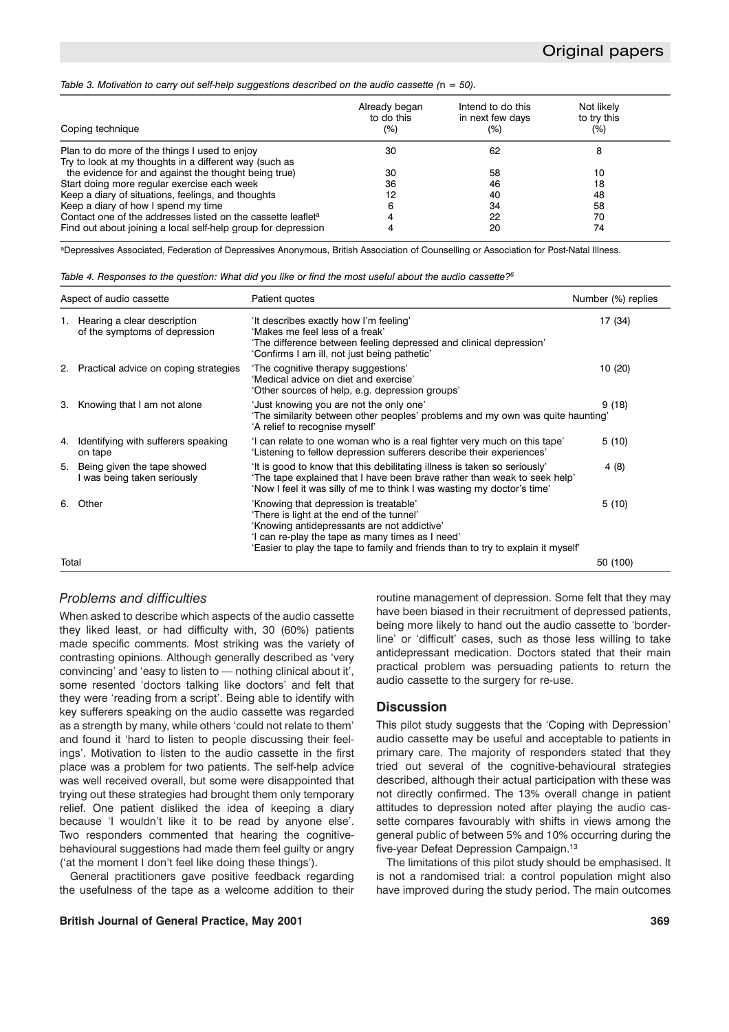#### *Table 3. Motivation to carry out self-help suggestions described on the audio cassette (*n *= 50).*

| Coping technique                                                         | Already began<br>to do this<br>(%) | Intend to do this<br>in next few days<br>(%) | Not likely<br>to try this<br>(%) |  |
|--------------------------------------------------------------------------|------------------------------------|----------------------------------------------|----------------------------------|--|
|                                                                          |                                    |                                              |                                  |  |
| Plan to do more of the things I used to enjoy                            | 30                                 | 62                                           |                                  |  |
| Try to look at my thoughts in a different way (such as                   |                                    |                                              |                                  |  |
| the evidence for and against the thought being true)                     | 30                                 | 58                                           | 10                               |  |
| Start doing more regular exercise each week                              | 36                                 | 46                                           | 18                               |  |
| Keep a diary of situations, feelings, and thoughts                       | 12                                 | 40                                           | 48                               |  |
| Keep a diary of how I spend my time                                      | 6                                  | 34                                           | 58                               |  |
| Contact one of the addresses listed on the cassette leaflet <sup>a</sup> |                                    | 22                                           | 70                               |  |
| Find out about joining a local self-help group for depression            |                                    | 20                                           | 74                               |  |

aDepressives Associated, Federation of Depressives Anonymous, British Association of Counselling or Association for Post-Natal Illness.

| Aspect of audio cassette |                                                                 | Patient quotes                                                                                                                                                                                                                                                             | Number (%) replies |  |
|--------------------------|-----------------------------------------------------------------|----------------------------------------------------------------------------------------------------------------------------------------------------------------------------------------------------------------------------------------------------------------------------|--------------------|--|
|                          | 1. Hearing a clear description<br>of the symptoms of depression | 'It describes exactly how I'm feeling'<br>'Makes me feel less of a freak'<br>'The difference between feeling depressed and clinical depression'<br>'Confirms I am ill, not just being pathetic'                                                                            | 17 (34)            |  |
|                          | 2. Practical advice on coping strategies                        | 'The cognitive therapy suggestions'<br>'Medical advice on diet and exercise'<br>'Other sources of help, e.g. depression groups'                                                                                                                                            | 10(20)             |  |
|                          | 3. Knowing that I am not alone                                  | 'Just knowing you are not the only one'<br>The similarity between other peoples' problems and my own was quite haunting'<br>'A relief to recognise myself'                                                                                                                 | 9(18)              |  |
| 4.                       | Identifying with sufferers speaking<br>on tape                  | 'I can relate to one woman who is a real fighter very much on this tape'<br>'Listening to fellow depression sufferers describe their experiences'                                                                                                                          | 5(10)              |  |
|                          | 5. Being given the tape showed<br>was being taken seriously     | 'It is good to know that this debilitating illness is taken so seriously'<br>'The tape explained that I have been brave rather than weak to seek help'<br>'Now I feel it was silly of me to think I was wasting my doctor's time'                                          | 4 (8)              |  |
| 6.                       | Other                                                           | 'Knowing that depression is treatable'<br>'There is light at the end of the tunnel'<br>'Knowing antidepressants are not addictive'<br>'I can re-play the tape as many times as I need'<br>'Easier to play the tape to family and friends than to try to explain it myself' | 5(10)              |  |
| Total                    |                                                                 |                                                                                                                                                                                                                                                                            | 50 (100)           |  |

### *Problems and difficulties*

When asked to describe which aspects of the audio cassette they liked least, or had difficulty with, 30 (60%) patients made specific comments. Most striking was the variety of contrasting opinions. Although generally described as 'very convincing' and 'easy to listen to — nothing clinical about it', some resented 'doctors talking like doctors' and felt that they were 'reading from a script'. Being able to identify with key sufferers speaking on the audio cassette was regarded as a strength by many, while others 'could not relate to them' and found it 'hard to listen to people discussing their feelings'. Motivation to listen to the audio cassette in the first place was a problem for two patients. The self-help advice was well received overall, but some were disappointed that trying out these strategies had brought them only temporary relief. One patient disliked the idea of keeping a diary because 'I wouldn't like it to be read by anyone else'. Two responders commented that hearing the cognitivebehavioural suggestions had made them feel guilty or angry ('at the moment I don't feel like doing these things').

General practitioners gave positive feedback regarding the usefulness of the tape as a welcome addition to their

**British Journal of General Practice, May 2001 369**

routine management of depression. Some felt that they may have been biased in their recruitment of depressed patients, being more likely to hand out the audio cassette to 'borderline' or 'difficult' cases, such as those less willing to take antidepressant medication. Doctors stated that their main practical problem was persuading patients to return the audio cassette to the surgery for re-use.

## **Discussion**

This pilot study suggests that the 'Coping with Depression' audio cassette may be useful and acceptable to patients in primary care. The majority of responders stated that they tried out several of the cognitive-behavioural strategies described, although their actual participation with these was not directly confirmed. The 13% overall change in patient attitudes to depression noted after playing the audio cassette compares favourably with shifts in views among the general public of between 5% and 10% occurring during the five-year Defeat Depression Campaign.13

The limitations of this pilot study should be emphasised. It is not a randomised trial: a control population might also have improved during the study period. The main outcomes